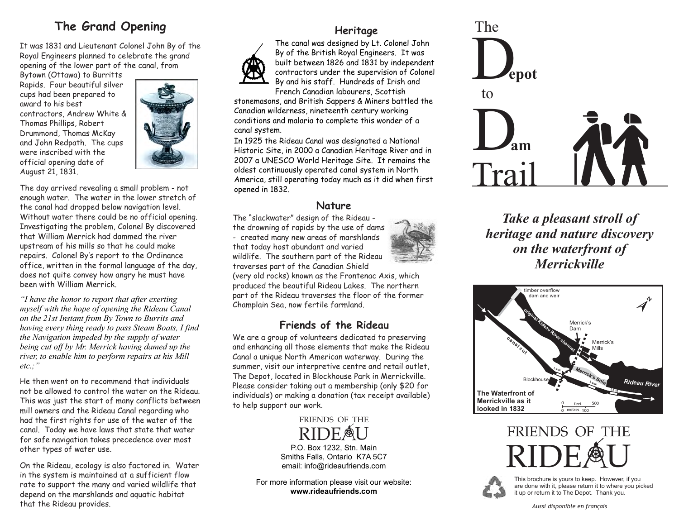## **The Grand Opening**

It was 1831 and Lieutenant Colonel John By of the Royal Engineers planned to celebrate the grand opening of the lower part of the canal, from

Bytown (Ottawa) to Burritts Rapids. Four beautiful silver cups had been prepared to award to his best contractors, Andrew White & Thomas Phillips, Robert Drummond, Thomas McKay and John Redpath. The cups were inscribed with the official opening date of August 21, 1831.



The day arrived revealing a small problem - not enough water. The water in the lower stretch of the canal had dropped below navigation level. Without water there could be no official opening. Investigating the problem, Colonel By discovered that William Merrick had dammed the river upstream of his mills so that he could make repairs. Colonel By's report to the Ordinance office, written in the formal language of the day, does not quite convey how angry he must have been with William Merrick.

*"I have the honor to report that after exerting myself with the hope of opening the Rideau Canal on the 21st Instant from By Town to Burrits and having every thing ready to pass Steam Boats, I find the Navigation impeded by the supply of water being cut off by Mr. Merrick having damed up the river, to enable him to perform repairs at his Mill etc.;"* 

He then went on to recommend that individuals not be allowed to control the water on the Rideau. This was just the start of many conflicts between mill owners and the Rideau Canal regarding who had the first rights for use of the water of the canal. Today we have laws that state that water for safe navigation takes precedence over most other types of water use.

On the Rideau, ecology is also factored in. Water in the system is maintained at a sufficient flow rate to support the many and varied wildlife that depend on the marshlands and aquatic habitat that the Rideau provides.

## **Heritage**



The canal was designed by Lt. Colonel John By of the British Royal Engineers. It was built between 1826 and 1831 by independent contractors under the supervision of Colonel By and his staff. Hundreds of Irish and French Canadian labourers, Scottish

stonemasons, and British Sappers & Miners battled the Canadian wilderness, nineteenth century working conditions and malaria to complete this wonder of a canal system.

In 1925 the Rideau Canal was designated a National Historic Site, in 2000 a Canadian Heritage River and in 2007 a UNESCO World Heritage Site. It remains the oldest continuously operated canal system in North America, still operating today much as it did when first opened in 1832.

### **Nature**

The "slackwater" design of the Rideau the drowning of rapids by the use of dams - created many new areas of marshlands that today host abundant and varied wildlife. The southern part of the Rideau traverses part of the Canadian Shield

(very old rocks) known as the Frontenac Axis, which produced the beautiful Rideau Lakes. The northern part of the Rideau traverses the floor of the former Champlain Sea, now fertile farmland.

## **Friends of the Rideau**

We are a group of volunteers dedicated to preserving and enhancing all those elements that make the Rideau Canal a unique North American waterway. During the summer, visit our interpretive centre and retail outlet, The Depot, located in Blockhouse Park in Merrickville. Please consider taking out a membership (only \$20 for individuals) or making a donation (tax receipt available) to help support our work.

> RIDEAU FRIENDS OF THE

P.O. Box 1232, Stn. Main Smiths Falls, Ontario K7A 5C7 email: info@rideaufriends.com

For more information please visit our website: **www.rideaufriends.com**



*Take a pleasant stroll of heritage and nature discovery on the waterfront of Merrickville*







This brochure is yours to keep. However, if you are done with it, please return it to where you picked it up or return it to The Depot. Thank you.